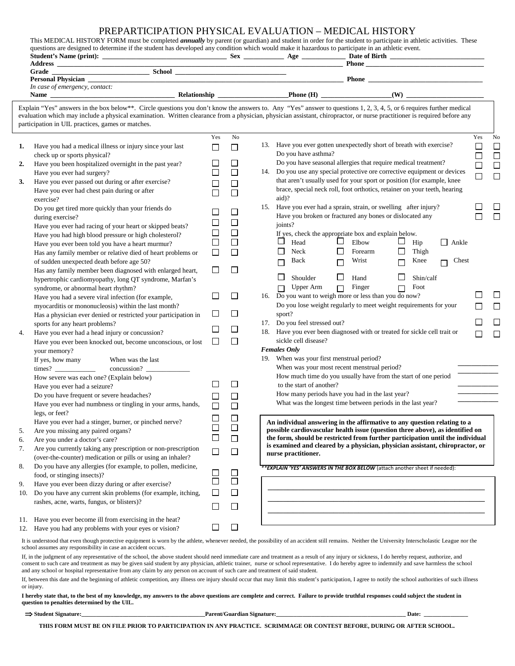## PREPARTICIPATION PHYSICAL EVALUATION – MEDICAL HISTORY

|     | questions are designed to determine if the student has developed any condition which would make it hazardous to participate in an athletic event. |                             |                          | This MEDICAL HISTORY FORM must be completed <i>annually</i> by parent (or guardian) and student in order for the student to participate in athletic activities. These                                                                                                                                                                            |        |              |
|-----|---------------------------------------------------------------------------------------------------------------------------------------------------|-----------------------------|--------------------------|--------------------------------------------------------------------------------------------------------------------------------------------------------------------------------------------------------------------------------------------------------------------------------------------------------------------------------------------------|--------|--------------|
|     |                                                                                                                                                   |                             |                          |                                                                                                                                                                                                                                                                                                                                                  |        |              |
|     |                                                                                                                                                   |                             |                          |                                                                                                                                                                                                                                                                                                                                                  |        |              |
|     | In case of emergency, contact:                                                                                                                    |                             |                          |                                                                                                                                                                                                                                                                                                                                                  |        |              |
|     |                                                                                                                                                   |                             |                          |                                                                                                                                                                                                                                                                                                                                                  |        |              |
|     | participation in UIL practices, games or matches.                                                                                                 |                             |                          | Explain "Yes" answers in the box below**. Circle questions you don't know the answers to. Any "Yes" answer to questions 1, 2, 3, 4, 5, or 6 requires further medical<br>evaluation which may include a physical examination. Written clearance from a physician, physician assistant, chiropractor, or nurse practitioner is required before any |        |              |
|     |                                                                                                                                                   | Yes                         | No                       |                                                                                                                                                                                                                                                                                                                                                  | Yes    | No           |
| 1.  | Have you had a medical illness or injury since your last                                                                                          | $\Box$                      | $\Box$                   | 13. Have you ever gotten unexpectedly short of breath with exercise?                                                                                                                                                                                                                                                                             | $\Box$ | $\Box$       |
|     | check up or sports physical?                                                                                                                      |                             |                          | Do you have asthma?                                                                                                                                                                                                                                                                                                                              | $\Box$ | $\Box$       |
| 2.  | Have you been hospitalized overnight in the past year?                                                                                            | $\Box$                      | $\overline{\phantom{a}}$ | Do you have seasonal allergies that require medical treatment?                                                                                                                                                                                                                                                                                   | $\Box$ | $\Box$       |
|     | Have you ever had surgery?                                                                                                                        | $\mathcal{L}_{\mathcal{A}}$ | $\Box$                   | 14. Do you use any special protective ore corrective equipment or devices                                                                                                                                                                                                                                                                        | $\Box$ | $\Box$       |
| 3.  | Have you ever passed out during or after exercise?                                                                                                | $\Box$                      | $\Box$                   | that aren't usually used for your sport or position (for example, knee                                                                                                                                                                                                                                                                           |        |              |
|     | Have you ever had chest pain during or after                                                                                                      |                             | $\Box$                   | brace, special neck roll, foot orthotics, retainer on your teeth, hearing<br>aid)?                                                                                                                                                                                                                                                               |        |              |
|     | exercise?                                                                                                                                         |                             |                          | 15. Have you ever had a sprain, strain, or swelling after injury?                                                                                                                                                                                                                                                                                |        | $\Box$       |
|     | Do you get tired more quickly than your friends do                                                                                                | $\Box$                      | □                        | Have you broken or fractured any bones or dislocated any                                                                                                                                                                                                                                                                                         |        | $\Box$       |
|     | during exercise?                                                                                                                                  | □                           | $\Box$                   | joints?                                                                                                                                                                                                                                                                                                                                          |        |              |
|     | Have you ever had racing of your heart or skipped beats?<br>Have you had high blood pressure or high cholesterol?                                 | $\Box$                      | $\Box$                   | If yes, check the appropriate box and explain below.                                                                                                                                                                                                                                                                                             |        |              |
|     |                                                                                                                                                   | $\Box$                      | $\Box$                   | $\Box$ Elbow<br>ப<br>Head<br>$\Box$ Hip<br>$\Box$ Ankle                                                                                                                                                                                                                                                                                          |        |              |
|     | Have you ever been told you have a heart murmur?<br>Has any family member or relative died of heart problems or                                   | $\Box$                      | $\Box$                   | $\Box$<br>⊔<br>Neck<br>$\Box$<br>Thigh<br>Forearm                                                                                                                                                                                                                                                                                                |        |              |
|     | of sudden unexpected death before age 50?                                                                                                         |                             |                          | Wrist<br>Back<br>Knee<br>Chest<br>$\Box$<br>$\Box$<br>П                                                                                                                                                                                                                                                                                          |        |              |
|     | Has any family member been diagnosed with enlarged heart,                                                                                         | $\Box$                      | $\Box$                   |                                                                                                                                                                                                                                                                                                                                                  |        |              |
|     | hypertrophic cardiomyopathy, long QT syndrome, Marfan's                                                                                           |                             |                          | $\Box$ Hand<br>$\Box$<br>$\Box$<br>Shoulder<br>Shin/calf                                                                                                                                                                                                                                                                                         |        |              |
|     | syndrome, or abnormal heart rhythm?                                                                                                               |                             |                          | $\Box$ Finger<br>$\Box$<br>Foot<br>$\Box$ Upper Arm                                                                                                                                                                                                                                                                                              |        |              |
|     | Have you had a severe viral infection (for example,                                                                                               | $\Box$                      | $\Box$                   | 16. Do you want to weigh more or less than you do now?                                                                                                                                                                                                                                                                                           |        | $\mathsf{L}$ |
|     | myocarditis or mononucleosis) within the last month?                                                                                              |                             |                          | Do you lose weight regularly to meet weight requirements for your                                                                                                                                                                                                                                                                                |        | $\Box$       |
|     | Has a physician ever denied or restricted your participation in                                                                                   | $\Box$                      | ப                        | sport?                                                                                                                                                                                                                                                                                                                                           |        |              |
|     | sports for any heart problems?                                                                                                                    |                             |                          | 17. Do you feel stressed out?                                                                                                                                                                                                                                                                                                                    |        | $\Box$       |
| 4.  | Have you ever had a head injury or concussion?                                                                                                    | ப                           | ப                        | 18. Have you ever been diagnosed with or treated for sickle cell trait or                                                                                                                                                                                                                                                                        |        | $\Box$       |
|     | Have you ever been knocked out, become unconscious, or lost                                                                                       | $\Box$                      | $\Box$                   | sickle cell disease?                                                                                                                                                                                                                                                                                                                             |        |              |
|     | your memory?                                                                                                                                      |                             |                          | <b>Females Only</b>                                                                                                                                                                                                                                                                                                                              |        |              |
|     | If yes, how many<br>When was the last                                                                                                             |                             |                          | 19. When was your first menstrual period?                                                                                                                                                                                                                                                                                                        |        |              |
|     |                                                                                                                                                   |                             |                          | When was your most recent menstrual period?                                                                                                                                                                                                                                                                                                      |        |              |
|     | How severe was each one? (Explain below)                                                                                                          |                             |                          | How much time do you usually have from the start of one period                                                                                                                                                                                                                                                                                   |        |              |
|     | Have you ever had a seizure?                                                                                                                      | $\mathsf{L}$                | П                        | to the start of another?                                                                                                                                                                                                                                                                                                                         |        |              |
|     | Do you have frequent or severe headaches?                                                                                                         | □                           | $\Box$                   | How many periods have you had in the last year?                                                                                                                                                                                                                                                                                                  |        |              |
|     | Have you ever had numbness or tingling in your arms, hands,                                                                                       | $\Box$                      | $\Box$                   | What was the longest time between periods in the last year?                                                                                                                                                                                                                                                                                      |        |              |
|     | legs, or feet?                                                                                                                                    |                             |                          |                                                                                                                                                                                                                                                                                                                                                  |        |              |
|     | Have you ever had a stinger, burner, or pinched nerve?                                                                                            | $\Box$                      | ப                        | An individual answering in the affirmative to any question relating to a                                                                                                                                                                                                                                                                         |        |              |
| 5.  | Are you missing any paired organs?                                                                                                                | $\overline{\phantom{a}}$    | $\Box$                   | possible cardiovascular health issue (question three above), as identified on                                                                                                                                                                                                                                                                    |        |              |
| 6.  | Are you under a doctor's care?                                                                                                                    | $\Box$                      | $\Box$                   | the form, should be restricted from further participation until the individual                                                                                                                                                                                                                                                                   |        |              |
| 7.  | Are you currently taking any prescription or non-prescription                                                                                     | $\Box$                      | $\Box$                   | is examined and cleared by a physician, physician assistant, chiropractor, or                                                                                                                                                                                                                                                                    |        |              |
|     | (over-the-counter) medication or pills or using an inhaler?                                                                                       |                             |                          | nurse practitioner.                                                                                                                                                                                                                                                                                                                              |        |              |
| 8.  | Do you have any allergies (for example, to pollen, medicine,                                                                                      |                             |                          | ** EXPLAIN 'YES' ANSWERS IN THE BOX BELOW (attach another sheet if needed):                                                                                                                                                                                                                                                                      |        |              |
|     | food, or stinging insects)?                                                                                                                       | $\Box$                      |                          |                                                                                                                                                                                                                                                                                                                                                  |        |              |
| 9.  | Have you ever been dizzy during or after exercise?                                                                                                | $\Box$                      | $\Box$                   |                                                                                                                                                                                                                                                                                                                                                  |        |              |
| 10. | Do you have any current skin problems (for example, itching,                                                                                      | $\Box$                      | $\Box$                   |                                                                                                                                                                                                                                                                                                                                                  |        |              |
|     | rashes, acne, warts, fungus, or blisters)?                                                                                                        | □                           | $\Box$                   |                                                                                                                                                                                                                                                                                                                                                  |        |              |
|     |                                                                                                                                                   |                             |                          |                                                                                                                                                                                                                                                                                                                                                  |        |              |
| 11. | Have you ever become ill from exercising in the heat?                                                                                             |                             |                          |                                                                                                                                                                                                                                                                                                                                                  |        |              |
|     | 12. Have you had any problems with your eyes or vision?                                                                                           | $\Box$                      | $\Box$                   |                                                                                                                                                                                                                                                                                                                                                  |        |              |

It is understood that even though protective equipment is worn by the athlete, whenever needed, the possibility of an accident still remains. Neither the University Interscholastic League nor the school assumes any responsibility in case an accident occurs.

If, in the judgment of any representative of the school, the above student should need immediate care and treatment as a result of any injury or sickness, I do hereby request, authorize, and consent to such care and treatment as may be given said student by any physician, athletic trainer, nurse or school representative. I do hereby agree to indemnify and save harmless the school and any school or hospital representative from any claim by any person on account of such care and treatment of said student.

If, between this date and the beginning of athletic competition, any illness ore injury should occur that may limit this student's participation, I agree to notify the school authorities of such illness or injury.

## **I hereby state that, to the best of my knowledge, my answers to the above questions are complete and correct. Failure to provide truthful responses could subject the student in question to penalties determined by the UIL.**

⇒ **Student Signature:\_\_\_\_\_\_\_\_\_\_\_\_\_\_\_\_\_\_\_\_\_\_\_\_\_\_\_\_\_\_\_\_\_\_\_\_\_\_\_\_\_\_Parent/Guardian Signature:\_\_\_\_\_\_\_\_\_\_\_\_\_\_\_\_\_\_\_\_\_\_\_\_\_\_\_\_\_\_\_\_\_\_\_\_\_\_\_\_\_\_\_\_ Date: \_\_\_\_\_\_\_\_\_\_\_\_\_\_\_** 

**THIS FORM MUST BE ON FILE PRIOR TO PARTICIPATION IN ANY PRACTICE. SCRIMMAGE OR CONTEST BEFORE, DURING OR AFTER SCHOOL.**